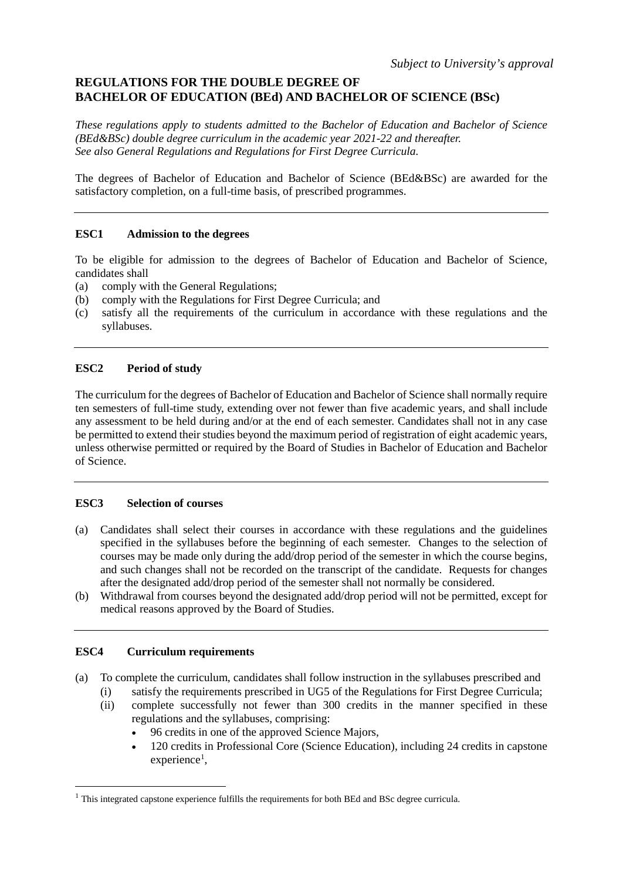# **REGULATIONS FOR THE DOUBLE DEGREE OF BACHELOR OF EDUCATION (BEd) AND BACHELOR OF SCIENCE (BSc)**

*These regulations apply to students admitted to the Bachelor of Education and Bachelor of Science (BEd&BSc) double degree curriculum in the academic year 2021-22 and thereafter. See also General Regulations and Regulations for First Degree Curricula.*

The degrees of Bachelor of Education and Bachelor of Science (BEd&BSc) are awarded for the satisfactory completion, on a full-time basis, of prescribed programmes.

## **ESC1 Admission to the degrees**

To be eligible for admission to the degrees of Bachelor of Education and Bachelor of Science, candidates shall

- (a) comply with the General Regulations;
- (b) comply with the Regulations for First Degree Curricula; and
- (c) satisfy all the requirements of the curriculum in accordance with these regulations and the syllabuses.

# **ESC2 Period of study**

The curriculum for the degrees of Bachelor of Education and Bachelor of Science shall normally require ten semesters of full-time study, extending over not fewer than five academic years, and shall include any assessment to be held during and/or at the end of each semester. Candidates shall not in any case be permitted to extend their studies beyond the maximum period of registration of eight academic years, unless otherwise permitted or required by the Board of Studies in Bachelor of Education and Bachelor of Science.

# **ESC3 Selection of courses**

- (a) Candidates shall select their courses in accordance with these regulations and the guidelines specified in the syllabuses before the beginning of each semester. Changes to the selection of courses may be made only during the add/drop period of the semester in which the course begins, and such changes shall not be recorded on the transcript of the candidate. Requests for changes after the designated add/drop period of the semester shall not normally be considered.
- (b) Withdrawal from courses beyond the designated add/drop period will not be permitted, except for medical reasons approved by the Board of Studies.

# **ESC4 Curriculum requirements**

- (a) To complete the curriculum, candidates shall follow instruction in the syllabuses prescribed and
	- (i) satisfy the requirements prescribed in UG5 of the Regulations for First Degree Curricula;
	- (ii) complete successfully not fewer than 300 credits in the manner specified in these regulations and the syllabuses, comprising:
		- 96 credits in one of the approved Science Majors,
		- 120 credits in Professional Core (Science Education), including 24 credits in capstone experience<sup>[1](#page-0-0)</sup>,

<span id="page-0-0"></span><sup>&</sup>lt;sup>1</sup> This integrated capstone experience fulfills the requirements for both BEd and BSc degree curricula.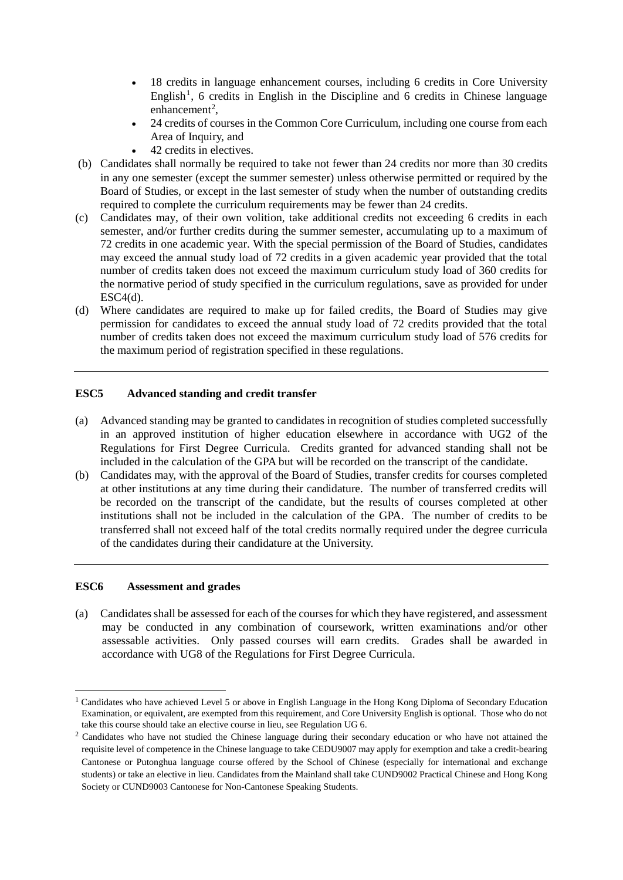- 18 credits in language enhancement courses, including 6 credits in Core University English<sup>[1](#page-1-0)</sup>, 6 credits in English in the Discipline and 6 credits in Chinese language  $enhancement<sup>2</sup>$  $enhancement<sup>2</sup>$  $enhancement<sup>2</sup>$ ,
- 24 credits of courses in the Common Core Curriculum, including one course from each Area of Inquiry, and
- 42 credits in electives.
- (b) Candidates shall normally be required to take not fewer than 24 credits nor more than 30 credits in any one semester (except the summer semester) unless otherwise permitted or required by the Board of Studies, or except in the last semester of study when the number of outstanding credits required to complete the curriculum requirements may be fewer than 24 credits.
- (c) Candidates may, of their own volition, take additional credits not exceeding 6 credits in each semester, and/or further credits during the summer semester, accumulating up to a maximum of 72 credits in one academic year. With the special permission of the Board of Studies, candidates may exceed the annual study load of 72 credits in a given academic year provided that the total number of credits taken does not exceed the maximum curriculum study load of 360 credits for the normative period of study specified in the curriculum regulations, save as provided for under  $ESC4(d)$ .
- (d) Where candidates are required to make up for failed credits, the Board of Studies may give permission for candidates to exceed the annual study load of 72 credits provided that the total number of credits taken does not exceed the maximum curriculum study load of 576 credits for the maximum period of registration specified in these regulations.

# **ESC5 Advanced standing and credit transfer**

- (a) Advanced standing may be granted to candidates in recognition of studies completed successfully in an approved institution of higher education elsewhere in accordance with UG2 of the Regulations for First Degree Curricula. Credits granted for advanced standing shall not be included in the calculation of the GPA but will be recorded on the transcript of the candidate.
- (b) Candidates may, with the approval of the Board of Studies, transfer credits for courses completed at other institutions at any time during their candidature. The number of transferred credits will be recorded on the transcript of the candidate, but the results of courses completed at other institutions shall not be included in the calculation of the GPA. The number of credits to be transferred shall not exceed half of the total credits normally required under the degree curricula of the candidates during their candidature at the University.

## **ESC6 Assessment and grades**

(a) Candidates shall be assessed for each of the courses for which they have registered, and assessment may be conducted in any combination of coursework, written examinations and/or other assessable activities. Only passed courses will earn credits. Grades shall be awarded in accordance with UG8 of the Regulations for First Degree Curricula.

<span id="page-1-0"></span><sup>&</sup>lt;sup>1</sup> Candidates who have achieved Level 5 or above in English Language in the Hong Kong Diploma of Secondary Education Examination, or equivalent, are exempted from this requirement, and Core University English is optional. Those who do not take this course should take an elective course in lieu, see Regulation UG 6.

<span id="page-1-1"></span><sup>&</sup>lt;sup>2</sup> Candidates who have not studied the Chinese language during their secondary education or who have not attained the requisite level of competence in the Chinese language to take CEDU9007 may apply for exemption and take a credit-bearing Cantonese or Putonghua language course offered by the School of Chinese (especially for international and exchange students) or take an elective in lieu. Candidates from the Mainland shall take CUND9002 Practical Chinese and Hong Kong Society or CUND9003 Cantonese for Non-Cantonese Speaking Students.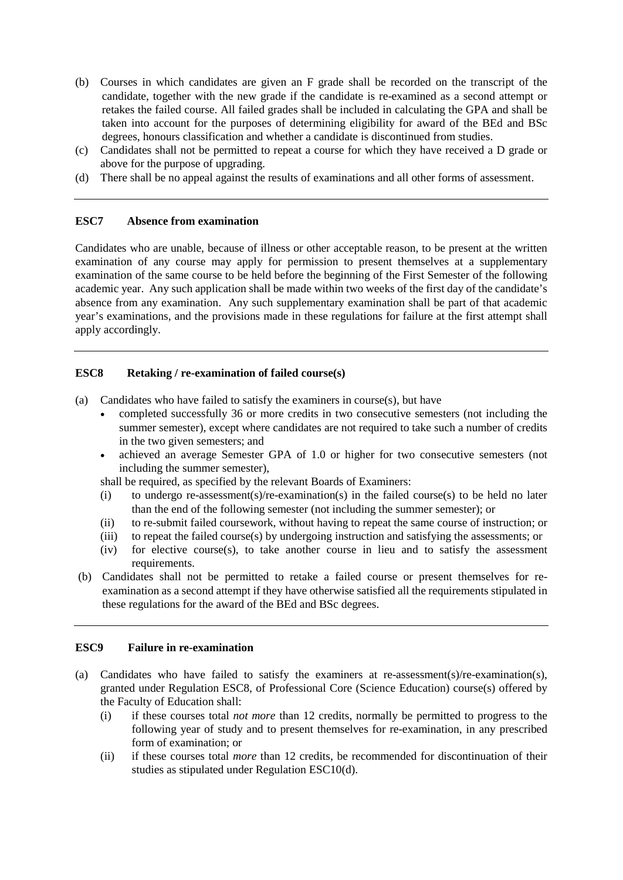- (b) Courses in which candidates are given an F grade shall be recorded on the transcript of the candidate, together with the new grade if the candidate is re-examined as a second attempt or retakes the failed course. All failed grades shall be included in calculating the GPA and shall be taken into account for the purposes of determining eligibility for award of the BEd and BSc degrees, honours classification and whether a candidate is discontinued from studies.
- (c) Candidates shall not be permitted to repeat a course for which they have received a D grade or above for the purpose of upgrading.
- (d) There shall be no appeal against the results of examinations and all other forms of assessment.

## **ESC7 Absence from examination**

Candidates who are unable, because of illness or other acceptable reason, to be present at the written examination of any course may apply for permission to present themselves at a supplementary examination of the same course to be held before the beginning of the First Semester of the following academic year. Any such application shall be made within two weeks of the first day of the candidate's absence from any examination. Any such supplementary examination shall be part of that academic year's examinations, and the provisions made in these regulations for failure at the first attempt shall apply accordingly.

## **ESC8 Retaking / re-examination of failed course(s)**

(a) Candidates who have failed to satisfy the examiners in course(s), but have

- completed successfully 36 or more credits in two consecutive semesters (not including the summer semester), except where candidates are not required to take such a number of credits in the two given semesters; and
- achieved an average Semester GPA of 1.0 or higher for two consecutive semesters (not including the summer semester),

shall be required, as specified by the relevant Boards of Examiners:

- (i) to undergo re-assessment(s)/re-examination(s) in the failed course(s) to be held no later than the end of the following semester (not including the summer semester); or
- (ii) to re-submit failed coursework, without having to repeat the same course of instruction; or
- (iii) to repeat the failed course(s) by undergoing instruction and satisfying the assessments; or
- (iv) for elective course(s), to take another course in lieu and to satisfy the assessment requirements.
- (b) Candidates shall not be permitted to retake a failed course or present themselves for reexamination as a second attempt if they have otherwise satisfied all the requirements stipulated in these regulations for the award of the BEd and BSc degrees.

## **ESC9 Failure in re-examination**

- (a) Candidates who have failed to satisfy the examiners at re-assessment(s)/re-examination(s), granted under Regulation ESC8, of Professional Core (Science Education) course(s) offered by the Faculty of Education shall:
	- (i) if these courses total *not more* than 12 credits, normally be permitted to progress to the following year of study and to present themselves for re-examination, in any prescribed form of examination; or
	- (ii) if these courses total *more* than 12 credits, be recommended for discontinuation of their studies as stipulated under Regulation ESC10(d).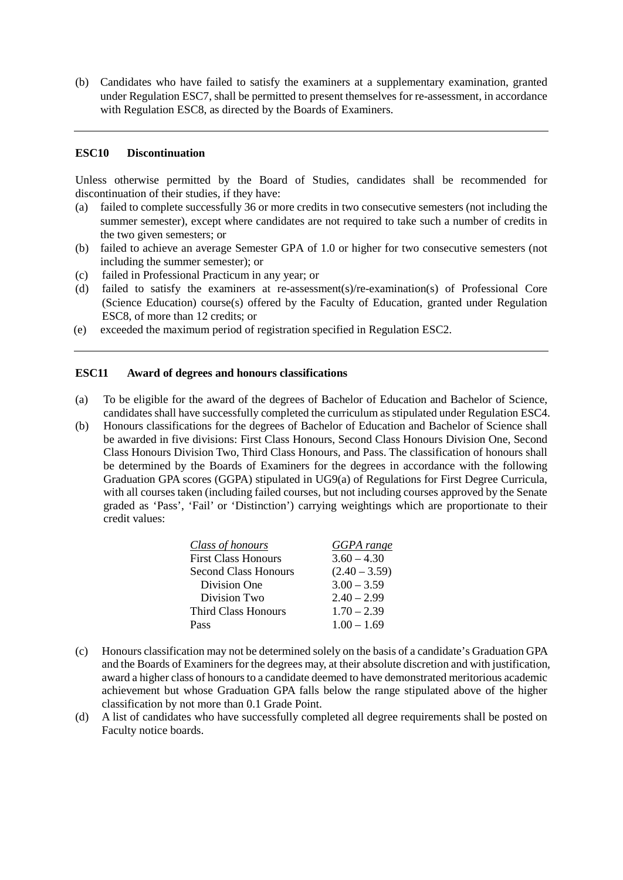(b) Candidates who have failed to satisfy the examiners at a supplementary examination, granted under Regulation ESC7, shall be permitted to present themselves for re-assessment, in accordance with Regulation ESC8, as directed by the Boards of Examiners.

## **ESC10 Discontinuation**

Unless otherwise permitted by the Board of Studies, candidates shall be recommended for discontinuation of their studies, if they have:

- (a) failed to complete successfully 36 or more credits in two consecutive semesters (not including the summer semester), except where candidates are not required to take such a number of credits in the two given semesters; or
- (b) failed to achieve an average Semester GPA of 1.0 or higher for two consecutive semesters (not including the summer semester); or
- (c) failed in Professional Practicum in any year; or
- (d) failed to satisfy the examiners at re-assessment(s)/re-examination(s) of Professional Core (Science Education) course(s) offered by the Faculty of Education, granted under Regulation ESC8, of more than 12 credits; or
- (e) exceeded the maximum period of registration specified in Regulation ESC2.

### **ESC11 Award of degrees and honours classifications**

- (a) To be eligible for the award of the degrees of Bachelor of Education and Bachelor of Science, candidates shall have successfully completed the curriculum as stipulated under Regulation ESC4.
- (b) Honours classifications for the degrees of Bachelor of Education and Bachelor of Science shall be awarded in five divisions: First Class Honours, Second Class Honours Division One, Second Class Honours Division Two, Third Class Honours, and Pass. The classification of honours shall be determined by the Boards of Examiners for the degrees in accordance with the following Graduation GPA scores (GGPA) stipulated in UG9(a) of Regulations for First Degree Curricula, with all courses taken (including failed courses, but not including courses approved by the Senate graded as 'Pass', 'Fail' or 'Distinction') carrying weightings which are proportionate to their credit values:

| <u>Class of honours</u> | <b>GGPA</b> range |
|-------------------------|-------------------|
| First Class Honours     | $3.60 - 4.30$     |
| Second Class Honours    | $(2.40 - 3.59)$   |
| Division One            | $3.00 - 3.59$     |
| Division Two            | $2.40 - 2.99$     |
| Third Class Honours     | $1.70 - 2.39$     |
| Pass                    | $1.00 - 1.69$     |

- (c) Honours classification may not be determined solely on the basis of a candidate's Graduation GPA and the Boards of Examiners for the degrees may, at their absolute discretion and with justification, award a higher class of honours to a candidate deemed to have demonstrated meritorious academic achievement but whose Graduation GPA falls below the range stipulated above of the higher classification by not more than 0.1 Grade Point.
- (d) A list of candidates who have successfully completed all degree requirements shall be posted on Faculty notice boards.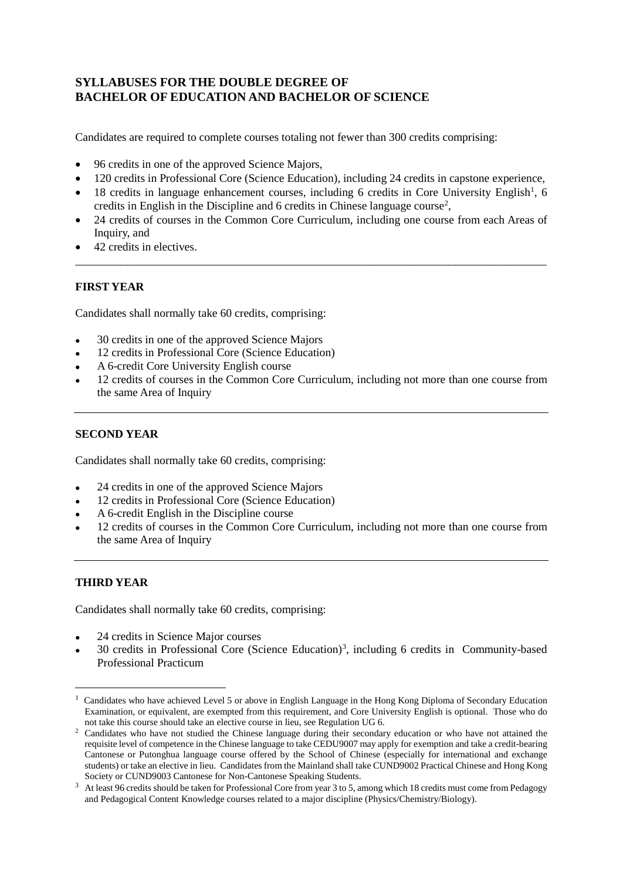# **SYLLABUSES FOR THE DOUBLE DEGREE OF BACHELOR OF EDUCATION AND BACHELOR OF SCIENCE**

Candidates are required to complete courses totaling not fewer than 300 credits comprising:

- 96 credits in one of the approved Science Majors,
- 120 credits in Professional Core (Science Education), including 24 credits in capstone experience,
- [1](#page-4-0)8 credits in language enhancement courses, including 6 credits in Core University English<sup>1</sup>, 6 credits in English in the Discipline and 6 credits in Chinese language course<sup>[2](#page-4-1)</sup>,
- 24 credits of courses in the Common Core Curriculum, including one course from each Areas of Inquiry, and

\_\_\_\_\_\_\_\_\_\_\_\_\_\_\_\_\_\_\_\_\_\_\_\_\_\_\_\_\_\_\_\_\_\_\_\_\_\_\_\_\_\_\_\_\_\_\_\_\_\_\_\_\_\_\_\_\_\_\_\_\_\_\_\_\_\_\_\_\_\_\_\_\_\_\_\_\_\_\_\_\_\_

• 42 credits in electives.

## **FIRST YEAR**

Candidates shall normally take 60 credits, comprising:

- 30 credits in one of the approved Science Majors
- 12 credits in Professional Core (Science Education)
- A 6-credit Core University English course
- 12 credits of courses in the Common Core Curriculum, including not more than one course from the same Area of Inquiry

## **SECOND YEAR**

Candidates shall normally take 60 credits, comprising:

- 24 credits in one of the approved Science Majors
- 12 credits in Professional Core (Science Education)
- A 6-credit English in the Discipline course
- 12 credits of courses in the Common Core Curriculum, including not more than one course from the same Area of Inquiry

# **THIRD YEAR**

Candidates shall normally take 60 credits, comprising:

- 24 credits in Science Major courses
- [3](#page-4-2)0 credits in Professional Core (Science Education)<sup>3</sup>, including 6 credits in Community-based Professional Practicum

<span id="page-4-0"></span> $\frac{1}{1}$ <sup>1</sup> Candidates who have achieved Level 5 or above in English Language in the Hong Kong Diploma of Secondary Education Examination, or equivalent, are exempted from this requirement, and Core University English is optional. Those who do not take this course should take an elective course in lieu, see Regulation UG 6.

<span id="page-4-1"></span><sup>&</sup>lt;sup>2</sup> Candidates who have not studied the Chinese language during their secondary education or who have not attained the requisite level of competence in the Chinese language to take CEDU9007 may apply for exemption and take a credit-bearing Cantonese or Putonghua language course offered by the School of Chinese (especially for international and exchange students) or take an elective in lieu. Candidates from the Mainland shall take CUND9002 Practical Chinese and Hong Kong

<span id="page-4-2"></span>Society or CUND9003 Cantonese for Non-Cantonese Speaking Students.<br><sup>3</sup> At least 96 credits should be taken for Professional Core from year 3 to 5, among which 18 credits must come from Pedagogy and Pedagogical Content Knowledge courses related to a major discipline (Physics/Chemistry/Biology).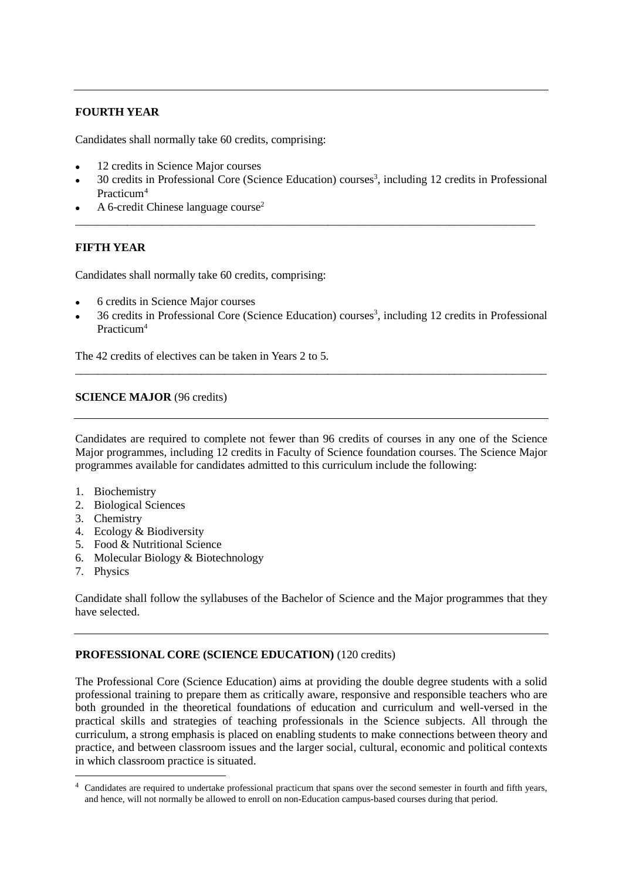# **FOURTH YEAR**

Candidates shall normally take 60 credits, comprising:

- 12 credits in Science Major courses
- 30 credits in Professional Core (Science Education) courses<sup>3</sup>, including 12 credits in Professional Practicum[4](#page-5-0)

\_\_\_\_\_\_\_\_\_\_\_\_\_\_\_\_\_\_\_\_\_\_\_\_\_\_\_\_\_\_\_\_\_\_\_\_\_\_\_\_\_\_\_\_\_\_\_\_\_\_\_\_\_\_\_\_\_\_\_\_\_\_\_\_\_\_\_\_\_\_\_\_\_\_\_\_\_\_\_\_

A 6-credit Chinese language course<sup>2</sup>

## **FIFTH YEAR**

Candidates shall normally take 60 credits, comprising:

- 6 credits in Science Major courses
- 36 credits in Professional Core (Science Education) courses<sup>3</sup>, including 12 credits in Professional Practicum4

\_\_\_\_\_\_\_\_\_\_\_\_\_\_\_\_\_\_\_\_\_\_\_\_\_\_\_\_\_\_\_\_\_\_\_\_\_\_\_\_\_\_\_\_\_\_\_\_\_\_\_\_\_\_\_\_\_\_\_\_\_\_\_\_\_\_\_\_\_\_\_\_\_\_\_\_\_\_\_\_\_\_

The 42 credits of electives can be taken in Years 2 to 5.

## **SCIENCE MAJOR** (96 credits)

Candidates are required to complete not fewer than 96 credits of courses in any one of the Science Major programmes, including 12 credits in Faculty of Science foundation courses. The Science Major programmes available for candidates admitted to this curriculum include the following:

- 1. Biochemistry
- 2. Biological Sciences
- 3. Chemistry
- 4. Ecology & Biodiversity
- 5. Food & Nutritional Science
- 6. Molecular Biology & Biotechnology
- 7. Physics

Candidate shall follow the syllabuses of the Bachelor of Science and the Major programmes that they have selected.

## **PROFESSIONAL CORE (SCIENCE EDUCATION)** (120 credits)

The Professional Core (Science Education) aims at providing the double degree students with a solid professional training to prepare them as critically aware, responsive and responsible teachers who are both grounded in the theoretical foundations of education and curriculum and well-versed in the practical skills and strategies of teaching professionals in the Science subjects. All through the curriculum, a strong emphasis is placed on enabling students to make connections between theory and practice, and between classroom issues and the larger social, cultural, economic and political contexts in which classroom practice is situated.

<span id="page-5-0"></span><sup>&</sup>lt;sup>4</sup> Candidates are required to undertake professional practicum that spans over the second semester in fourth and fifth years, and hence, will not normally be allowed to enroll on non-Education campus-based courses during that period.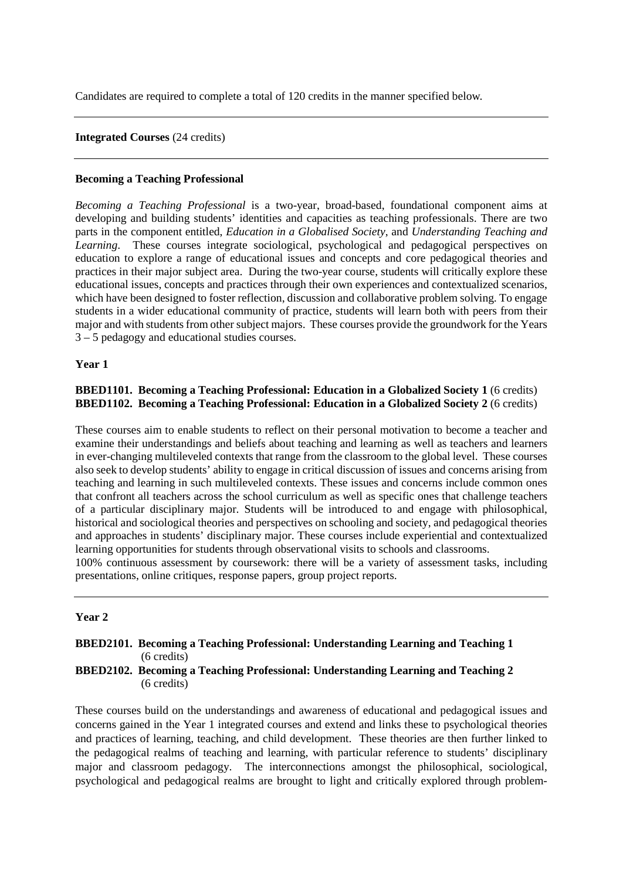Candidates are required to complete a total of 120 credits in the manner specified below.

### **Integrated Courses** (24 credits)

#### **Becoming a Teaching Professional**

*Becoming a Teaching Professional* is a two-year, broad-based, foundational component aims at developing and building students' identities and capacities as teaching professionals. There are two parts in the component entitled, *Education in a Globalised Society*, and *Understanding Teaching and Learning*. These courses integrate sociological, psychological and pedagogical perspectives on education to explore a range of educational issues and concepts and core pedagogical theories and practices in their major subject area. During the two-year course, students will critically explore these educational issues, concepts and practices through their own experiences and contextualized scenarios, which have been designed to foster reflection, discussion and collaborative problem solving. To engage students in a wider educational community of practice, students will learn both with peers from their major and with students from other subject majors. These courses provide the groundwork for the Years 3 – 5 pedagogy and educational studies courses.

#### **Year 1**

### **BBED1101. Becoming a Teaching Professional: Education in a Globalized Society 1 (6 credits) BBED1102. Becoming a Teaching Professional: Education in a Globalized Society 2** (6 credits)

These courses aim to enable students to reflect on their personal motivation to become a teacher and examine their understandings and beliefs about teaching and learning as well as teachers and learners in ever-changing multileveled contexts that range from the classroom to the global level. These courses also seek to develop students' ability to engage in critical discussion of issues and concerns arising from teaching and learning in such multileveled contexts. These issues and concerns include common ones that confront all teachers across the school curriculum as well as specific ones that challenge teachers of a particular disciplinary major. Students will be introduced to and engage with philosophical, historical and sociological theories and perspectives on schooling and society, and pedagogical theories and approaches in students' disciplinary major. These courses include experiential and contextualized learning opportunities for students through observational visits to schools and classrooms.

100% continuous assessment by coursework: there will be a variety of assessment tasks, including presentations, online critiques, response papers, group project reports.

#### **Year 2**

#### **BBED2101. Becoming a Teaching Professional: Understanding Learning and Teaching 1** (6 credits) **BBED2102. Becoming a Teaching Professional: Understanding Learning and Teaching 2** (6 credits)

These courses build on the understandings and awareness of educational and pedagogical issues and concerns gained in the Year 1 integrated courses and extend and links these to psychological theories and practices of learning, teaching, and child development. These theories are then further linked to the pedagogical realms of teaching and learning, with particular reference to students' disciplinary major and classroom pedagogy. The interconnections amongst the philosophical, sociological, psychological and pedagogical realms are brought to light and critically explored through problem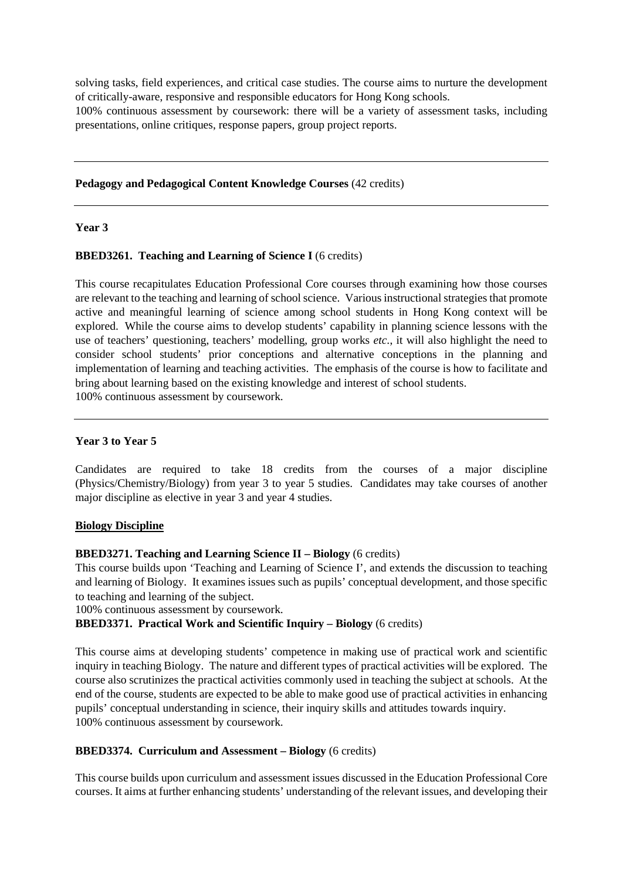solving tasks, field experiences, and critical case studies. The course aims to nurture the development of critically-aware, responsive and responsible educators for Hong Kong schools.

100% continuous assessment by coursework: there will be a variety of assessment tasks, including presentations, online critiques, response papers, group project reports.

**Pedagogy and Pedagogical Content Knowledge Courses** (42 credits)

## **Year 3**

#### **BBED3261.** Teaching and Learning of Science I (6 credits)

This course recapitulates Education Professional Core courses through examining how those courses are relevant to the teaching and learning of school science. Various instructional strategies that promote active and meaningful learning of science among school students in Hong Kong context will be explored. While the course aims to develop students' capability in planning science lessons with the use of teachers' questioning, teachers' modelling, group works *etc.*, it will also highlight the need to consider school students' prior conceptions and alternative conceptions in the planning and implementation of learning and teaching activities. The emphasis of the course is how to facilitate and bring about learning based on the existing knowledge and interest of school students. 100% continuous assessment by coursework.

#### **Year 3 to Year 5**

Candidates are required to take 18 credits from the courses of a major discipline (Physics/Chemistry/Biology) from year 3 to year 5 studies. Candidates may take courses of another major discipline as elective in year 3 and year 4 studies.

#### **Biology Discipline**

#### **BBED3271. Teaching and Learning Science II – Biology** (6 credits)

This course builds upon 'Teaching and Learning of Science I', and extends the discussion to teaching and learning of Biology. It examines issues such as pupils' conceptual development, and those specific to teaching and learning of the subject.

100% continuous assessment by coursework.

# **BBED3371. Practical Work and Scientific Inquiry – Biology** (6 credits)

This course aims at developing students' competence in making use of practical work and scientific inquiry in teaching Biology. The nature and different types of practical activities will be explored. The course also scrutinizes the practical activities commonly used in teaching the subject at schools. At the end of the course, students are expected to be able to make good use of practical activities in enhancing pupils' conceptual understanding in science, their inquiry skills and attitudes towards inquiry. 100% continuous assessment by coursework.

#### **BBED3374. Curriculum and Assessment – Biology** (6 credits)

This course builds upon curriculum and assessment issues discussed in the Education Professional Core courses. It aims at further enhancing students' understanding of the relevant issues, and developing their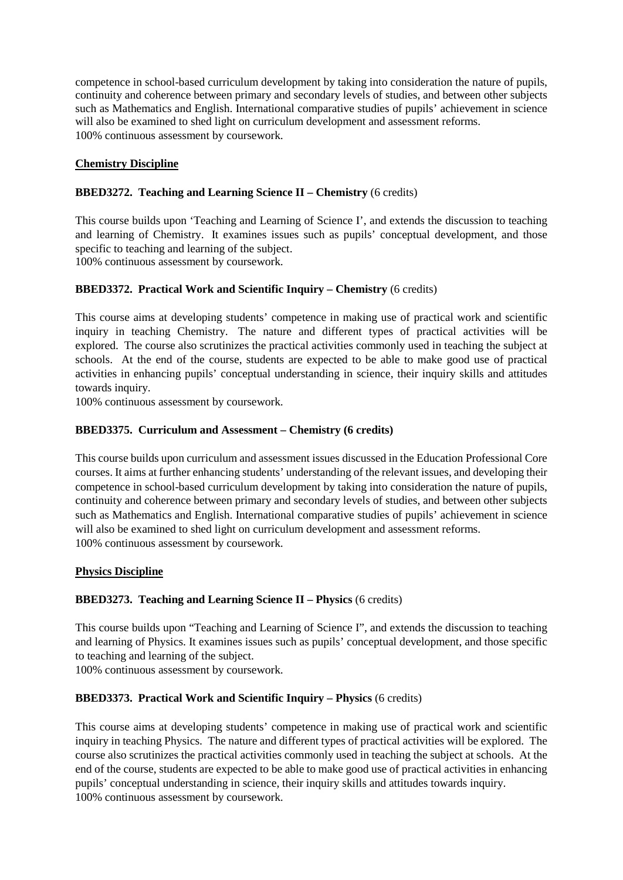competence in school-based curriculum development by taking into consideration the nature of pupils, continuity and coherence between primary and secondary levels of studies, and between other subjects such as Mathematics and English. International comparative studies of pupils' achievement in science will also be examined to shed light on curriculum development and assessment reforms. 100% continuous assessment by coursework.

## **Chemistry Discipline**

## **BBED3272. Teaching and Learning Science II – Chemistry** (6 credits)

This course builds upon 'Teaching and Learning of Science I', and extends the discussion to teaching and learning of Chemistry. It examines issues such as pupils' conceptual development, and those specific to teaching and learning of the subject.

100% continuous assessment by coursework.

# **BBED3372. Practical Work and Scientific Inquiry – Chemistry** (6 credits)

This course aims at developing students' competence in making use of practical work and scientific inquiry in teaching Chemistry. The nature and different types of practical activities will be explored. The course also scrutinizes the practical activities commonly used in teaching the subject at schools. At the end of the course, students are expected to be able to make good use of practical activities in enhancing pupils' conceptual understanding in science, their inquiry skills and attitudes towards inquiry.

100% continuous assessment by coursework.

## **BBED3375. Curriculum and Assessment – Chemistry (6 credits)**

This course builds upon curriculum and assessment issues discussed in the Education Professional Core courses. It aims at further enhancing students' understanding of the relevant issues, and developing their competence in school-based curriculum development by taking into consideration the nature of pupils, continuity and coherence between primary and secondary levels of studies, and between other subjects such as Mathematics and English. International comparative studies of pupils' achievement in science will also be examined to shed light on curriculum development and assessment reforms. 100% continuous assessment by coursework.

## **Physics Discipline**

# **BBED3273. Teaching and Learning Science II – Physics** (6 credits)

This course builds upon "Teaching and Learning of Science I", and extends the discussion to teaching and learning of Physics. It examines issues such as pupils' conceptual development, and those specific to teaching and learning of the subject.

100% continuous assessment by coursework.

## **BBED3373. Practical Work and Scientific Inquiry – Physics** (6 credits)

This course aims at developing students' competence in making use of practical work and scientific inquiry in teaching Physics. The nature and different types of practical activities will be explored. The course also scrutinizes the practical activities commonly used in teaching the subject at schools. At the end of the course, students are expected to be able to make good use of practical activities in enhancing pupils' conceptual understanding in science, their inquiry skills and attitudes towards inquiry. 100% continuous assessment by coursework.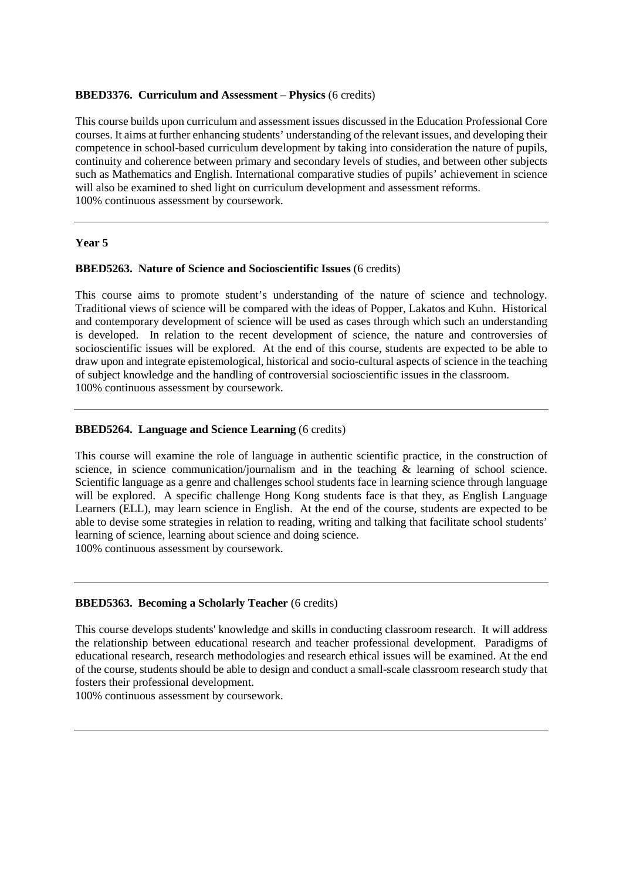## **BBED3376. Curriculum and Assessment – Physics** (6 credits)

This course builds upon curriculum and assessment issues discussed in the Education Professional Core courses. It aims at further enhancing students' understanding of the relevant issues, and developing their competence in school-based curriculum development by taking into consideration the nature of pupils, continuity and coherence between primary and secondary levels of studies, and between other subjects such as Mathematics and English. International comparative studies of pupils' achievement in science will also be examined to shed light on curriculum development and assessment reforms. 100% continuous assessment by coursework.

#### **Year 5**

#### **BBED5263. Nature of Science and Socioscientific Issues** (6 credits)

This course aims to promote student's understanding of the nature of science and technology. Traditional views of science will be compared with the ideas of Popper, Lakatos and Kuhn. Historical and contemporary development of science will be used as cases through which such an understanding is developed. In relation to the recent development of science, the nature and controversies of socioscientific issues will be explored. At the end of this course, students are expected to be able to draw upon and integrate epistemological, historical and socio-cultural aspects of science in the teaching of subject knowledge and the handling of controversial socioscientific issues in the classroom. 100% continuous assessment by coursework.

## **BBED5264. Language and Science Learning** (6 credits)

This course will examine the role of language in authentic scientific practice, in the construction of science, in science communication/journalism and in the teaching  $\&$  learning of school science. Scientific language as a genre and challenges school students face in learning science through language will be explored. A specific challenge Hong Kong students face is that they, as English Language Learners (ELL), may learn science in English. At the end of the course, students are expected to be able to devise some strategies in relation to reading, writing and talking that facilitate school students' learning of science, learning about science and doing science. 100% continuous assessment by coursework.

#### **BBED5363. Becoming a Scholarly Teacher** (6 credits)

This course develops students' knowledge and skills in conducting classroom research. It will address the relationship between educational research and teacher professional development. Paradigms of educational research, research methodologies and research ethical issues will be examined. At the end of the course, students should be able to design and conduct a small-scale classroom research study that fosters their professional development.

100% continuous assessment by coursework.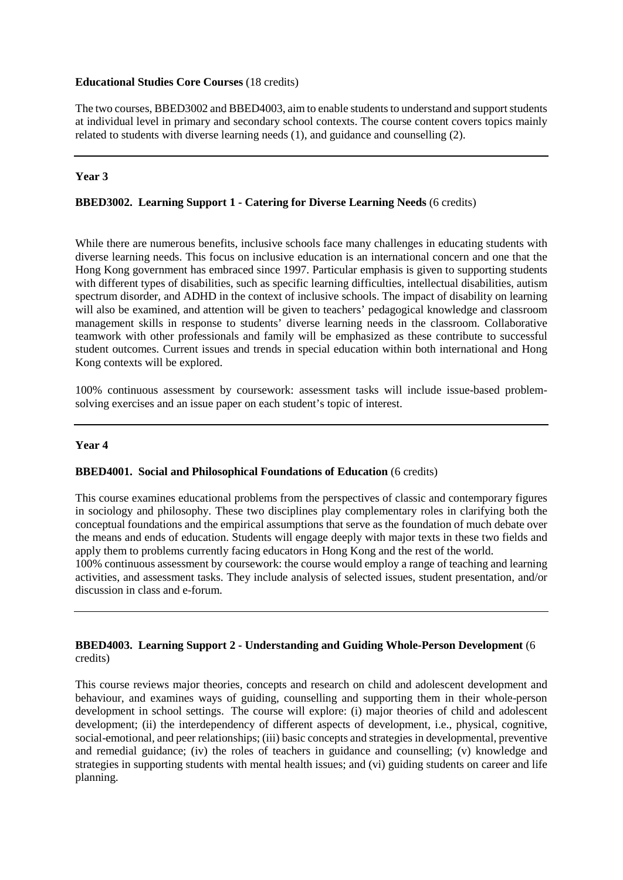## **Educational Studies Core Courses** (18 credits)

The two courses, BBED3002 and BBED4003, aim to enable students to understand and support students at individual level in primary and secondary school contexts. The course content covers topics mainly related to students with diverse learning needs (1), and guidance and counselling (2).

## **Year 3**

# **BBED3002. Learning Support 1 - Catering for Diverse Learning Needs** (6 credits)

While there are numerous benefits, inclusive schools face many challenges in educating students with diverse learning needs. This focus on inclusive education is an international concern and one that the Hong Kong government has embraced since 1997. Particular emphasis is given to supporting students with different types of disabilities, such as specific learning difficulties, intellectual disabilities, autism spectrum disorder, and ADHD in the context of inclusive schools. The impact of disability on learning will also be examined, and attention will be given to teachers' pedagogical knowledge and classroom management skills in response to students' diverse learning needs in the classroom. Collaborative teamwork with other professionals and family will be emphasized as these contribute to successful student outcomes. Current issues and trends in special education within both international and Hong Kong contexts will be explored.

100% continuous assessment by coursework: assessment tasks will include issue-based problemsolving exercises and an issue paper on each student's topic of interest.

## **Year 4**

## **BBED4001. Social and Philosophical Foundations of Education** (6 credits)

This course examines educational problems from the perspectives of classic and contemporary figures in sociology and philosophy. These two disciplines play complementary roles in clarifying both the conceptual foundations and the empirical assumptions that serve as the foundation of much debate over the means and ends of education. Students will engage deeply with major texts in these two fields and apply them to problems currently facing educators in Hong Kong and the rest of the world.

100% continuous assessment by coursework: the course would employ a range of teaching and learning activities, and assessment tasks. They include analysis of selected issues, student presentation, and/or discussion in class and e-forum.

## **BBED4003. Learning Support 2 - Understanding and Guiding Whole-Person Development** (6 credits)

This course reviews major theories, concepts and research on child and adolescent development and behaviour, and examines ways of guiding, counselling and supporting them in their whole-person development in school settings. The course will explore: (i) major theories of child and adolescent development; (ii) the interdependency of different aspects of development, i.e., physical, cognitive, social-emotional, and peer relationships; (iii) basic concepts and strategies in developmental, preventive and remedial guidance; (iv) the roles of teachers in guidance and counselling; (v) knowledge and strategies in supporting students with mental health issues; and (vi) guiding students on career and life planning.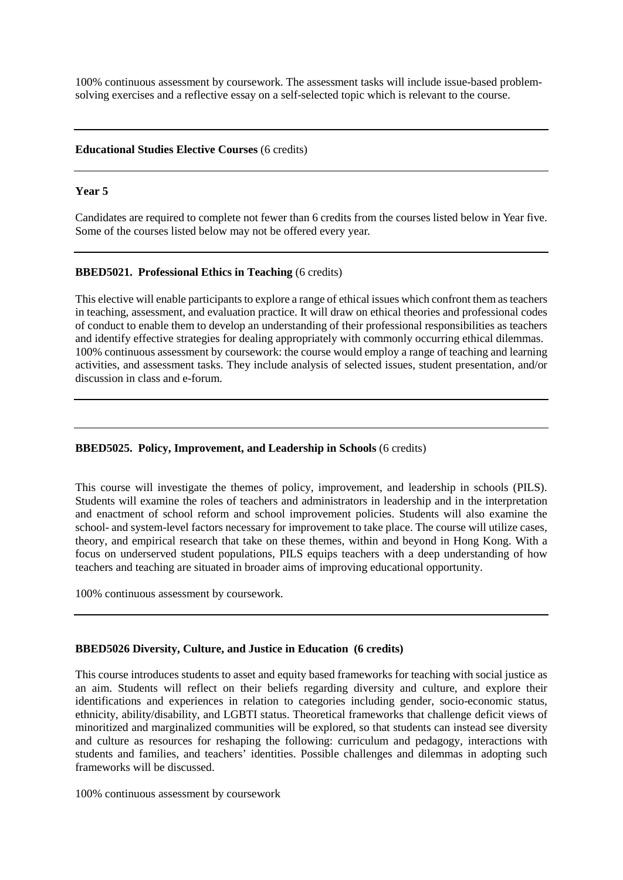100% continuous assessment by coursework. The assessment tasks will include issue-based problemsolving exercises and a reflective essay on a self-selected topic which is relevant to the course.

#### **Educational Studies Elective Courses** (6 credits)

#### **Year 5**

Candidates are required to complete not fewer than 6 credits from the courses listed below in Year five. Some of the courses listed below may not be offered every year.

## **BBED5021. Professional Ethics in Teaching** (6 credits)

This elective will enable participants to explore a range of ethical issues which confront them as teachers in teaching, assessment, and evaluation practice. It will draw on ethical theories and professional codes of conduct to enable them to develop an understanding of their professional responsibilities as teachers and identify effective strategies for dealing appropriately with commonly occurring ethical dilemmas. 100% continuous assessment by coursework: the course would employ a range of teaching and learning activities, and assessment tasks. They include analysis of selected issues, student presentation, and/or discussion in class and e-forum.

## **BBED5025. Policy, Improvement, and Leadership in Schools** (6 credits)

This course will investigate the themes of policy, improvement, and leadership in schools (PILS). Students will examine the roles of teachers and administrators in leadership and in the interpretation and enactment of school reform and school improvement policies. Students will also examine the school- and system-level factors necessary for improvement to take place. The course will utilize cases, theory, and empirical research that take on these themes, within and beyond in Hong Kong. With a focus on underserved student populations, PILS equips teachers with a deep understanding of how teachers and teaching are situated in broader aims of improving educational opportunity.

100% continuous assessment by coursework.

## **BBED5026 Diversity, Culture, and Justice in Education (6 credits)**

This course introduces students to asset and equity based frameworks for teaching with social justice as an aim. Students will reflect on their beliefs regarding diversity and culture, and explore their identifications and experiences in relation to categories including gender, socio-economic status, ethnicity, ability/disability, and LGBTI status. Theoretical frameworks that challenge deficit views of minoritized and marginalized communities will be explored, so that students can instead see diversity and culture as resources for reshaping the following: curriculum and pedagogy, interactions with students and families, and teachers' identities. Possible challenges and dilemmas in adopting such frameworks will be discussed.

100% continuous assessment by coursework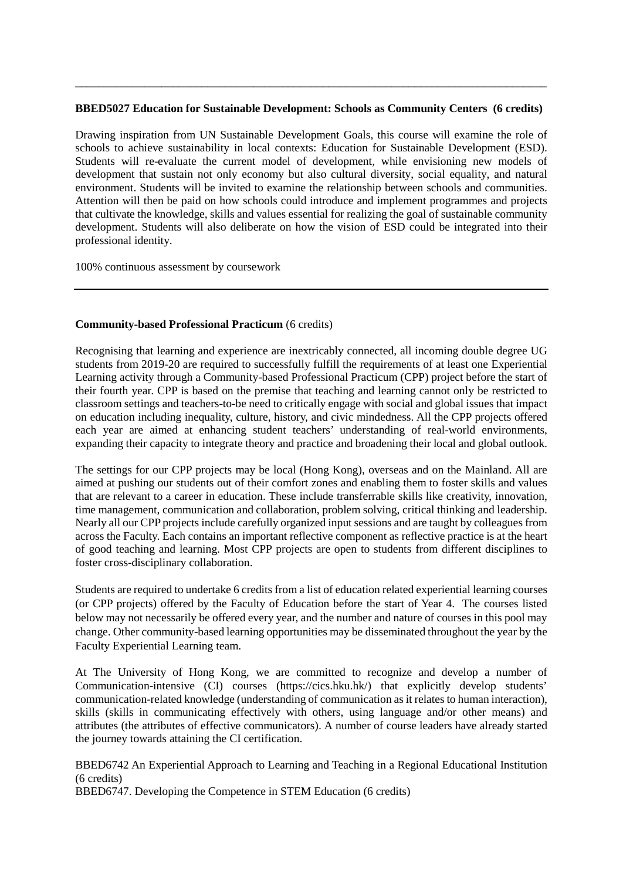#### **BBED5027 Education for Sustainable Development: Schools as Community Centers (6 credits)**

\_\_\_\_\_\_\_\_\_\_\_\_\_\_\_\_\_\_\_\_\_\_\_\_\_\_\_\_\_\_\_\_\_\_\_\_\_\_\_\_\_\_\_\_\_\_\_\_\_\_\_\_\_\_\_\_\_\_\_\_\_\_\_\_\_\_\_\_\_\_\_\_\_\_\_\_\_\_\_\_\_\_

Drawing inspiration from UN Sustainable Development Goals, this course will examine the role of schools to achieve sustainability in local contexts: Education for Sustainable Development (ESD). Students will re-evaluate the current model of development, while envisioning new models of development that sustain not only economy but also cultural diversity, social equality, and natural environment. Students will be invited to examine the relationship between schools and communities. Attention will then be paid on how schools could introduce and implement programmes and projects that cultivate the knowledge, skills and values essential for realizing the goal of sustainable community development. Students will also deliberate on how the vision of ESD could be integrated into their professional identity.

100% continuous assessment by coursework

## **Community-based Professional Practicum** (6 credits)

Recognising that learning and experience are inextricably connected, all incoming double degree UG students from 2019-20 are required to successfully fulfill the requirements of at least one Experiential Learning activity through a Community-based Professional Practicum (CPP) project before the start of their fourth year. CPP is based on the premise that teaching and learning cannot only be restricted to classroom settings and teachers-to-be need to critically engage with social and global issues that impact on education including inequality, culture, history, and civic mindedness. All the CPP projects offered each year are aimed at enhancing student teachers' understanding of real-world environments, expanding their capacity to integrate theory and practice and broadening their local and global outlook.

The settings for our CPP projects may be local (Hong Kong), overseas and on the Mainland. All are aimed at pushing our students out of their comfort zones and enabling them to foster skills and values that are relevant to a career in education. These include transferrable skills like creativity, innovation, time management, communication and collaboration, problem solving, critical thinking and leadership. Nearly all our CPP projects include carefully organized input sessions and are taught by colleagues from across the Faculty. Each contains an important reflective component as reflective practice is at the heart of good teaching and learning. Most CPP projects are open to students from different disciplines to foster cross-disciplinary collaboration.

Students are required to undertake 6 credits from a list of education related experiential learning courses (or CPP projects) offered by the Faculty of Education before the start of Year 4. The courses listed below may not necessarily be offered every year, and the number and nature of courses in this pool may change. Other community-based learning opportunities may be disseminated throughout the year by the Faculty Experiential Learning team.

At The University of Hong Kong, we are committed to recognize and develop a number of Communication-intensive (CI) courses (https://cics.hku.hk/) that explicitly develop students' communication-related knowledge (understanding of communication as it relates to human interaction), skills (skills in communicating effectively with others, using language and/or other means) and attributes (the attributes of effective communicators). A number of course leaders have already started the journey towards attaining the CI certification.

BBED6742 An Experiential Approach to Learning and Teaching in a Regional Educational Institution (6 credits)

BBED6747. Developing the Competence in STEM Education (6 credits)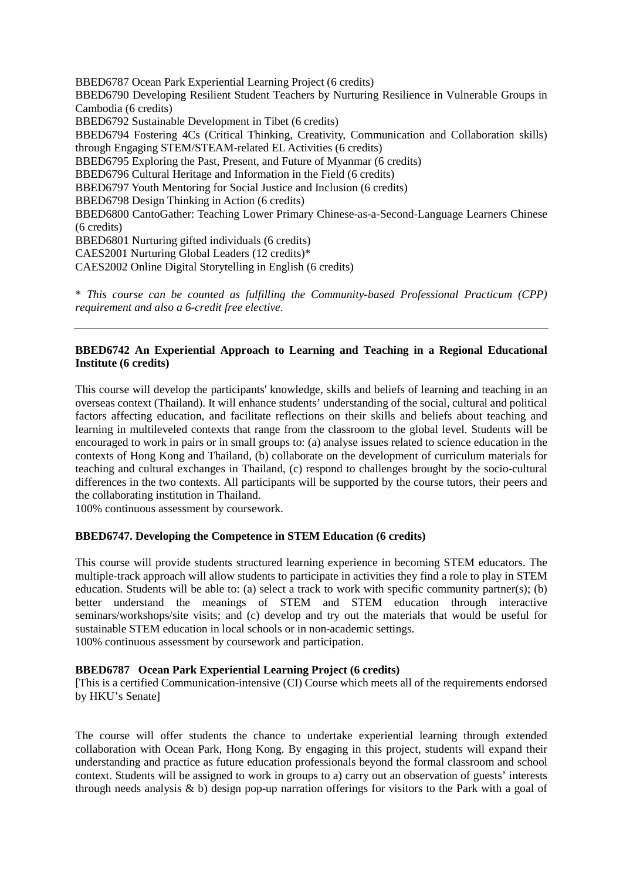BBED6787 Ocean Park Experiential Learning Project (6 credits) BBED6790 Developing Resilient Student Teachers by Nurturing Resilience in Vulnerable Groups in Cambodia (6 credits) BBED6792 Sustainable Development in Tibet (6 credits) BBED6794 Fostering 4Cs (Critical Thinking, Creativity, Communication and Collaboration skills) through Engaging STEM/STEAM-related EL Activities (6 credits) BBED6795 Exploring the Past, Present, and Future of Myanmar (6 credits) BBED6796 Cultural Heritage and Information in the Field (6 credits) BBED6797 Youth Mentoring for Social Justice and Inclusion (6 credits) BBED6798 Design Thinking in Action (6 credits) BBED6800 CantoGather: Teaching Lower Primary Chinese-as-a-Second-Language Learners Chinese (6 credits) BBED6801 Nurturing gifted individuals (6 credits) CAES2001 Nurturing Global Leaders (12 credits)\* CAES2002 Online Digital Storytelling in English (6 credits)

\* *This course can be counted as fulfilling the Community-based Professional Practicum (CPP) requirement and also a 6-credit free elective.*

## **BBED6742 An Experiential Approach to Learning and Teaching in a Regional Educational Institute (6 credits)**

This course will develop the participants' knowledge, skills and beliefs of learning and teaching in an overseas context (Thailand). It will enhance students' understanding of the social, cultural and political factors affecting education, and facilitate reflections on their skills and beliefs about teaching and learning in multileveled contexts that range from the classroom to the global level. Students will be encouraged to work in pairs or in small groups to: (a) analyse issues related to science education in the contexts of Hong Kong and Thailand, (b) collaborate on the development of curriculum materials for teaching and cultural exchanges in Thailand, (c) respond to challenges brought by the socio-cultural differences in the two contexts. All participants will be supported by the course tutors, their peers and the collaborating institution in Thailand.

100% continuous assessment by coursework.

## **BBED6747. Developing the Competence in STEM Education (6 credits)**

This course will provide students structured learning experience in becoming STEM educators. The multiple-track approach will allow students to participate in activities they find a role to play in STEM education. Students will be able to: (a) select a track to work with specific community partner(s); (b) better understand the meanings of STEM and STEM education through interactive seminars/workshops/site visits; and (c) develop and try out the materials that would be useful for sustainable STEM education in local schools or in non-academic settings. 100% continuous assessment by coursework and participation.

## **BBED6787 Ocean Park Experiential Learning Project (6 credits)**

[This is a certified Communication-intensive (CI) Course which meets all of the requirements endorsed by HKU's Senate]

The course will offer students the chance to undertake experiential learning through extended collaboration with Ocean Park, Hong Kong. By engaging in this project, students will expand their understanding and practice as future education professionals beyond the formal classroom and school context. Students will be assigned to work in groups to a) carry out an observation of guests' interests through needs analysis  $\&$  b) design pop-up narration offerings for visitors to the Park with a goal of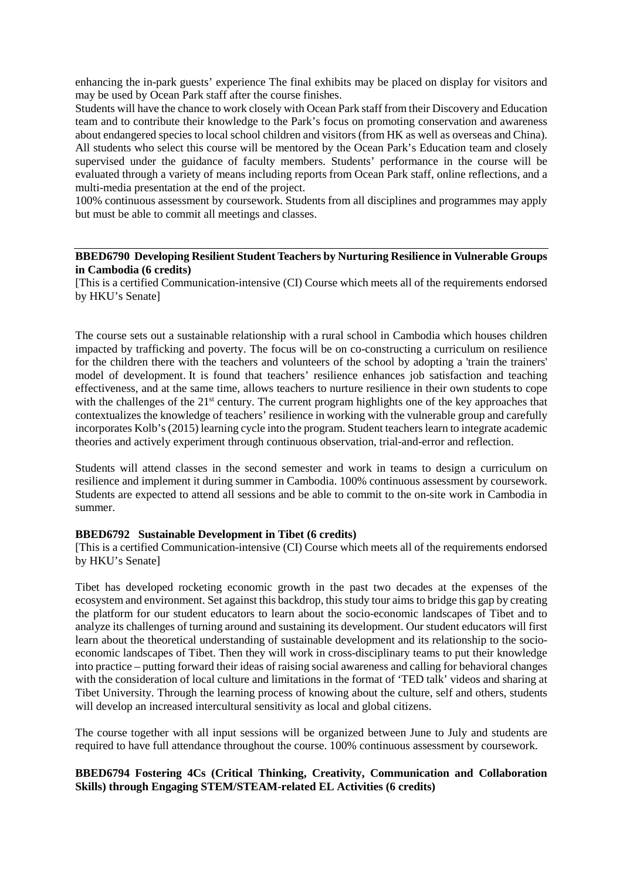enhancing the in-park guests' experience The final exhibits may be placed on display for visitors and may be used by Ocean Park staff after the course finishes.

Students will have the chance to work closely with Ocean Park staff from their Discovery and Education team and to contribute their knowledge to the Park's focus on promoting conservation and awareness about endangered species to local school children and visitors (from HK as well as overseas and China). All students who select this course will be mentored by the Ocean Park's Education team and closely supervised under the guidance of faculty members. Students' performance in the course will be evaluated through a variety of means including reports from Ocean Park staff, online reflections, and a multi-media presentation at the end of the project.

100% continuous assessment by coursework. Students from all disciplines and programmes may apply but must be able to commit all meetings and classes.

## **BBED6790 Developing Resilient Student Teachers by Nurturing Resilience in Vulnerable Groups in Cambodia (6 credits)**

[This is a certified Communication-intensive (CI) Course which meets all of the requirements endorsed by HKU's Senate]

The course sets out a sustainable relationship with a rural school in Cambodia which houses children impacted by trafficking and poverty. The focus will be on co-constructing a curriculum on resilience for the children there with the teachers and volunteers of the school by adopting a 'train the trainers' model of development. It is found that teachers' resilience enhances job satisfaction and teaching effectiveness, and at the same time, allows teachers to nurture resilience in their own students to cope with the challenges of the 21<sup>st</sup> century. The current program highlights one of the key approaches that contextualizes the knowledge of teachers' resilience in working with the vulnerable group and carefully incorporates Kolb's (2015) learning cycle into the program. Student teachers learn to integrate academic theories and actively experiment through continuous observation, trial-and-error and reflection.

Students will attend classes in the second semester and work in teams to design a curriculum on resilience and implement it during summer in Cambodia. 100% continuous assessment by coursework. Students are expected to attend all sessions and be able to commit to the on-site work in Cambodia in summer.

#### **BBED6792 Sustainable Development in Tibet (6 credits)**

[This is a certified Communication-intensive (CI) Course which meets all of the requirements endorsed by HKU's Senate]

Tibet has developed rocketing economic growth in the past two decades at the expenses of the ecosystem and environment. Set against this backdrop, this study tour aims to bridge this gap by creating the platform for our student educators to learn about the socio-economic landscapes of Tibet and to analyze its challenges of turning around and sustaining its development. Our student educators will first learn about the theoretical understanding of sustainable development and its relationship to the socioeconomic landscapes of Tibet. Then they will work in cross-disciplinary teams to put their knowledge into practice – putting forward their ideas of raising social awareness and calling for behavioral changes with the consideration of local culture and limitations in the format of 'TED talk' videos and sharing at Tibet University. Through the learning process of knowing about the culture, self and others, students will develop an increased intercultural sensitivity as local and global citizens.

The course together with all input sessions will be organized between June to July and students are required to have full attendance throughout the course. 100% continuous assessment by coursework.

## **BBED6794 Fostering 4Cs (Critical Thinking, Creativity, Communication and Collaboration Skills) through Engaging STEM/STEAM-related EL Activities (6 credits)**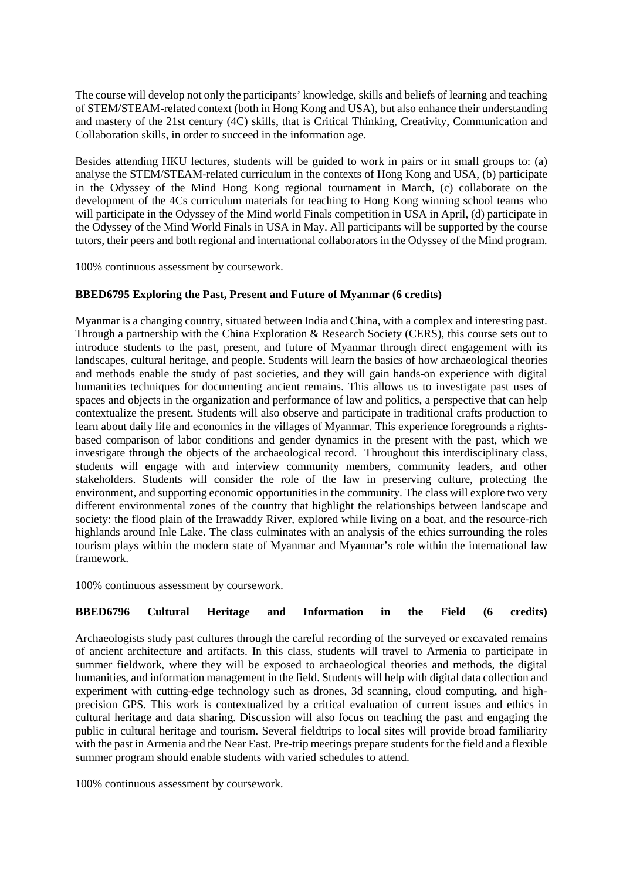The course will develop not only the participants' knowledge, skills and beliefs of learning and teaching of STEM/STEAM-related context (both in Hong Kong and USA), but also enhance their understanding and mastery of the 21st century (4C) skills, that is Critical Thinking, Creativity, Communication and Collaboration skills, in order to succeed in the information age.

Besides attending HKU lectures, students will be guided to work in pairs or in small groups to: (a) analyse the STEM/STEAM-related curriculum in the contexts of Hong Kong and USA, (b) participate in the Odyssey of the Mind Hong Kong regional tournament in March, (c) collaborate on the development of the 4Cs curriculum materials for teaching to Hong Kong winning school teams who will participate in the Odyssey of the Mind world Finals competition in USA in April, (d) participate in the Odyssey of the Mind World Finals in USA in May. All participants will be supported by the course tutors, their peers and both regional and international collaborators in the Odyssey of the Mind program.

100% continuous assessment by coursework.

## **BBED6795 Exploring the Past, Present and Future of Myanmar (6 credits)**

Myanmar is a changing country, situated between India and China, with a complex and interesting past. Through a partnership with the China Exploration & Research Society (CERS), this course sets out to introduce students to the past, present, and future of Myanmar through direct engagement with its landscapes, cultural heritage, and people. Students will learn the basics of how archaeological theories and methods enable the study of past societies, and they will gain hands-on experience with digital humanities techniques for documenting ancient remains. This allows us to investigate past uses of spaces and objects in the organization and performance of law and politics, a perspective that can help contextualize the present. Students will also observe and participate in traditional crafts production to learn about daily life and economics in the villages of Myanmar. This experience foregrounds a rightsbased comparison of labor conditions and gender dynamics in the present with the past, which we investigate through the objects of the archaeological record. Throughout this interdisciplinary class, students will engage with and interview community members, community leaders, and other stakeholders. Students will consider the role of the law in preserving culture, protecting the environment, and supporting economic opportunities in the community. The class will explore two very different environmental zones of the country that highlight the relationships between landscape and society: the flood plain of the Irrawaddy River, explored while living on a boat, and the resource-rich highlands around Inle Lake. The class culminates with an analysis of the ethics surrounding the roles tourism plays within the modern state of Myanmar and Myanmar's role within the international law framework.

100% continuous assessment by coursework.

# **BBED6796 Cultural Heritage and Information in the Field (6 credits)**

Archaeologists study past cultures through the careful recording of the surveyed or excavated remains of ancient architecture and artifacts. In this class, students will travel to Armenia to participate in summer fieldwork, where they will be exposed to archaeological theories and methods, the digital humanities, and information management in the field. Students will help with digital data collection and experiment with cutting-edge technology such as drones, 3d scanning, cloud computing, and highprecision GPS. This work is contextualized by a critical evaluation of current issues and ethics in cultural heritage and data sharing. Discussion will also focus on teaching the past and engaging the public in cultural heritage and tourism. Several fieldtrips to local sites will provide broad familiarity with the past in Armenia and the Near East. Pre-trip meetings prepare students for the field and a flexible summer program should enable students with varied schedules to attend.

100% continuous assessment by coursework.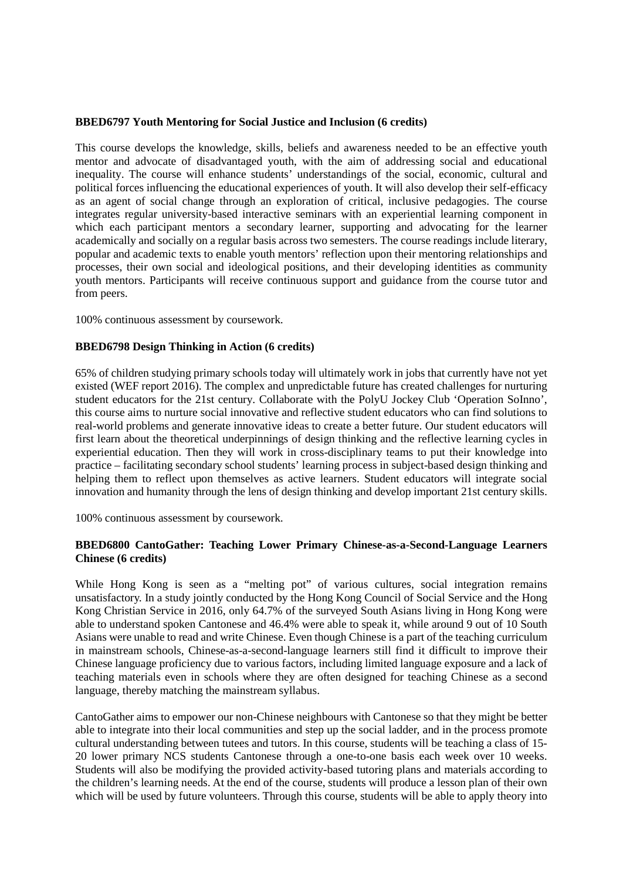#### **BBED6797 Youth Mentoring for Social Justice and Inclusion (6 credits)**

This course develops the knowledge, skills, beliefs and awareness needed to be an effective youth mentor and advocate of disadvantaged youth, with the aim of addressing social and educational inequality. The course will enhance students' understandings of the social, economic, cultural and political forces influencing the educational experiences of youth. It will also develop their self-efficacy as an agent of social change through an exploration of critical, inclusive pedagogies. The course integrates regular university-based interactive seminars with an experiential learning component in which each participant mentors a secondary learner, supporting and advocating for the learner academically and socially on a regular basis across two semesters. The course readings include literary, popular and academic texts to enable youth mentors' reflection upon their mentoring relationships and processes, their own social and ideological positions, and their developing identities as community youth mentors. Participants will receive continuous support and guidance from the course tutor and from peers.

100% continuous assessment by coursework.

## **BBED6798 Design Thinking in Action (6 credits)**

65% of children studying primary schools today will ultimately work in jobs that currently have not yet existed (WEF report 2016). The complex and unpredictable future has created challenges for nurturing student educators for the 21st century. Collaborate with the PolyU Jockey Club 'Operation SoInno', this course aims to nurture social innovative and reflective student educators who can find solutions to real-world problems and generate innovative ideas to create a better future. Our student educators will first learn about the theoretical underpinnings of design thinking and the reflective learning cycles in experiential education. Then they will work in cross-disciplinary teams to put their knowledge into practice – facilitating secondary school students' learning process in subject-based design thinking and helping them to reflect upon themselves as active learners. Student educators will integrate social innovation and humanity through the lens of design thinking and develop important 21st century skills.

100% continuous assessment by coursework.

## **BBED6800 CantoGather: Teaching Lower Primary Chinese-as-a-Second-Language Learners Chinese (6 credits)**

While Hong Kong is seen as a "melting pot" of various cultures, social integration remains unsatisfactory. In a study jointly conducted by the Hong Kong Council of Social Service and the Hong Kong Christian Service in 2016, only 64.7% of the surveyed South Asians living in Hong Kong were able to understand spoken Cantonese and 46.4% were able to speak it, while around 9 out of 10 South Asians were unable to read and write Chinese. Even though Chinese is a part of the teaching curriculum in mainstream schools, Chinese-as-a-second-language learners still find it difficult to improve their Chinese language proficiency due to various factors, including limited language exposure and a lack of teaching materials even in schools where they are often designed for teaching Chinese as a second language, thereby matching the mainstream syllabus.

CantoGather aims to empower our non-Chinese neighbours with Cantonese so that they might be better able to integrate into their local communities and step up the social ladder, and in the process promote cultural understanding between tutees and tutors. In this course, students will be teaching a class of 15- 20 lower primary NCS students Cantonese through a one-to-one basis each week over 10 weeks. Students will also be modifying the provided activity-based tutoring plans and materials according to the children's learning needs. At the end of the course, students will produce a lesson plan of their own which will be used by future volunteers. Through this course, students will be able to apply theory into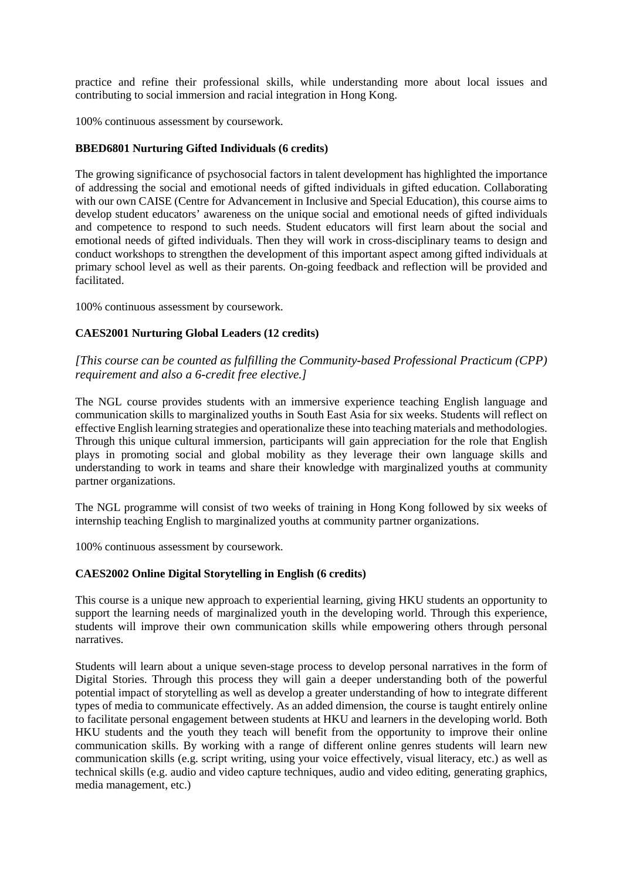practice and refine their professional skills, while understanding more about local issues and contributing to social immersion and racial integration in Hong Kong.

100% continuous assessment by coursework.

## **BBED6801 Nurturing Gifted Individuals (6 credits)**

The growing significance of psychosocial factors in talent development has highlighted the importance of addressing the social and emotional needs of gifted individuals in gifted education. Collaborating with our own CAISE (Centre for Advancement in Inclusive and Special Education), this course aims to develop student educators' awareness on the unique social and emotional needs of gifted individuals and competence to respond to such needs. Student educators will first learn about the social and emotional needs of gifted individuals. Then they will work in cross-disciplinary teams to design and conduct workshops to strengthen the development of this important aspect among gifted individuals at primary school level as well as their parents. On-going feedback and reflection will be provided and facilitated.

100% continuous assessment by coursework.

## **CAES2001 Nurturing Global Leaders (12 credits)**

*[This course can be counted as fulfilling the Community-based Professional Practicum (CPP) requirement and also a 6-credit free elective.]*

The NGL course provides students with an immersive experience teaching English language and communication skills to marginalized youths in South East Asia for six weeks. Students will reflect on effective English learning strategies and operationalize these into teaching materials and methodologies. Through this unique cultural immersion, participants will gain appreciation for the role that English plays in promoting social and global mobility as they leverage their own language skills and understanding to work in teams and share their knowledge with marginalized youths at community partner organizations.

The NGL programme will consist of two weeks of training in Hong Kong followed by six weeks of internship teaching English to marginalized youths at community partner organizations.

100% continuous assessment by coursework.

## **CAES2002 Online Digital Storytelling in English (6 credits)**

This course is a unique new approach to experiential learning, giving HKU students an opportunity to support the learning needs of marginalized youth in the developing world. Through this experience, students will improve their own communication skills while empowering others through personal narratives.

Students will learn about a unique seven-stage process to develop personal narratives in the form of Digital Stories. Through this process they will gain a deeper understanding both of the powerful potential impact of storytelling as well as develop a greater understanding of how to integrate different types of media to communicate effectively. As an added dimension, the course is taught entirely online to facilitate personal engagement between students at HKU and learners in the developing world. Both HKU students and the youth they teach will benefit from the opportunity to improve their online communication skills. By working with a range of different online genres students will learn new communication skills (e.g. script writing, using your voice effectively, visual literacy, etc.) as well as technical skills (e.g. audio and video capture techniques, audio and video editing, generating graphics, media management, etc.)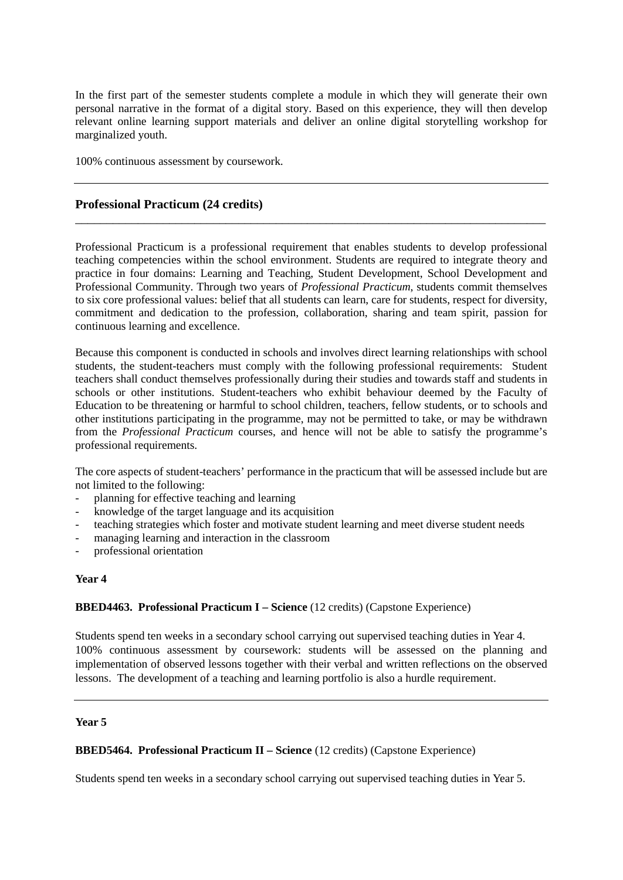In the first part of the semester students complete a module in which they will generate their own personal narrative in the format of a digital story. Based on this experience, they will then develop relevant online learning support materials and deliver an online digital storytelling workshop for marginalized youth.

100% continuous assessment by coursework.

## **Professional Practicum (24 credits)**

Professional Practicum is a professional requirement that enables students to develop professional teaching competencies within the school environment. Students are required to integrate theory and practice in four domains: Learning and Teaching, Student Development, School Development and Professional Community. Through two years of *Professional Practicum*, students commit themselves to six core professional values: belief that all students can learn, care for students, respect for diversity, commitment and dedication to the profession, collaboration, sharing and team spirit, passion for continuous learning and excellence.

\_\_\_\_\_\_\_\_\_\_\_\_\_\_\_\_\_\_\_\_\_\_\_\_\_\_\_\_\_\_\_\_\_\_\_\_\_\_\_\_\_\_\_\_\_\_\_\_\_\_\_\_\_\_\_\_\_\_\_\_\_\_\_\_\_\_\_\_\_\_\_\_\_\_\_

Because this component is conducted in schools and involves direct learning relationships with school students, the student-teachers must comply with the following professional requirements: Student teachers shall conduct themselves professionally during their studies and towards staff and students in schools or other institutions. Student-teachers who exhibit behaviour deemed by the Faculty of Education to be threatening or harmful to school children, teachers, fellow students, or to schools and other institutions participating in the programme, may not be permitted to take, or may be withdrawn from the *Professional Practicum* courses, and hence will not be able to satisfy the programme's professional requirements.

The core aspects of student-teachers' performance in the practicum that will be assessed include but are not limited to the following:

- planning for effective teaching and learning
- knowledge of the target language and its acquisition
- teaching strategies which foster and motivate student learning and meet diverse student needs
- managing learning and interaction in the classroom
- professional orientation

#### **Year 4**

## **BBED4463. Professional Practicum I – Science** (12 credits) (Capstone Experience)

Students spend ten weeks in a secondary school carrying out supervised teaching duties in Year 4. 100% continuous assessment by coursework: students will be assessed on the planning and implementation of observed lessons together with their verbal and written reflections on the observed lessons. The development of a teaching and learning portfolio is also a hurdle requirement.

#### **Year 5**

## **BBED5464. Professional Practicum II – Science** (12 credits) (Capstone Experience)

Students spend ten weeks in a secondary school carrying out supervised teaching duties in Year 5.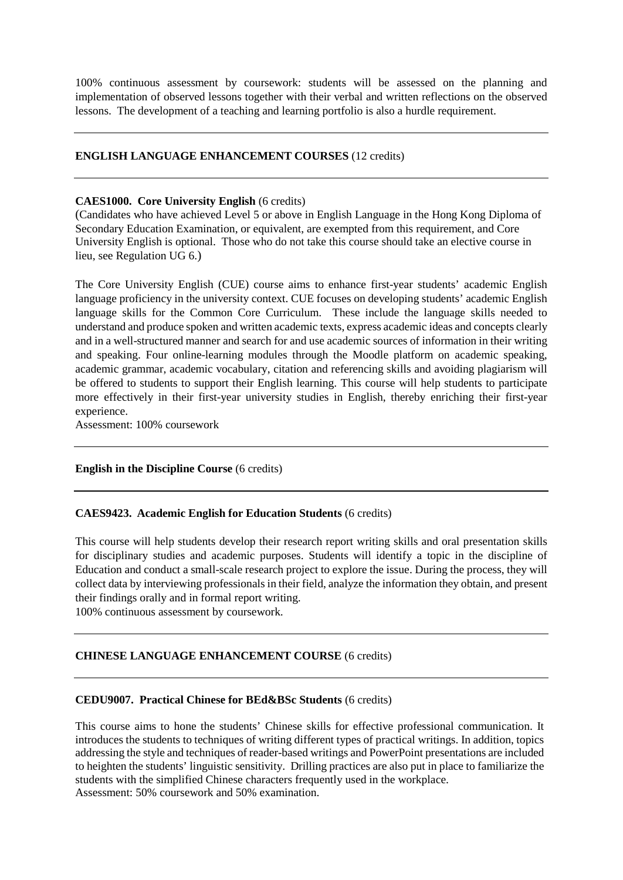100% continuous assessment by coursework: students will be assessed on the planning and implementation of observed lessons together with their verbal and written reflections on the observed lessons. The development of a teaching and learning portfolio is also a hurdle requirement.

# **ENGLISH LANGUAGE ENHANCEMENT COURSES** (12 credits)

### **CAES1000. Core University English** (6 credits)

(Candidates who have achieved Level 5 or above in English Language in the Hong Kong Diploma of Secondary Education Examination, or equivalent, are exempted from this requirement, and Core University English is optional. Those who do not take this course should take an elective course in lieu, see Regulation UG 6.)

The Core University English (CUE) course aims to enhance first-year students' academic English language proficiency in the university context. CUE focuses on developing students' academic English language skills for the Common Core Curriculum. These include the language skills needed to understand and produce spoken and written academic texts, express academic ideas and concepts clearly and in a well-structured manner and search for and use academic sources of information in their writing and speaking. Four online-learning modules through the Moodle platform on academic speaking, academic grammar, academic vocabulary, citation and referencing skills and avoiding plagiarism will be offered to students to support their English learning. This course will help students to participate more effectively in their first-year university studies in English, thereby enriching their first-year experience.

Assessment: 100% coursework

## **English in the Discipline Course** (6 credits)

#### **CAES9423. Academic English for Education Students** (6 credits)

This course will help students develop their research report writing skills and oral presentation skills for disciplinary studies and academic purposes. Students will identify a topic in the discipline of Education and conduct a small-scale research project to explore the issue. During the process, they will collect data by interviewing professionals in their field, analyze the information they obtain, and present their findings orally and in formal report writing.

100% continuous assessment by coursework.

## **CHINESE LANGUAGE ENHANCEMENT COURSE** (6 credits)

#### **CEDU9007. Practical Chinese for BEd&BSc Students** (6 credits)

This course aims to hone the students' Chinese skills for effective professional communication. It introduces the students to techniques of writing different types of practical writings. In addition, topics addressing the style and techniques of reader-based writings and PowerPoint presentations are included to heighten the students' linguistic sensitivity. Drilling practices are also put in place to familiarize the students with the simplified Chinese characters frequently used in the workplace. Assessment: 50% coursework and 50% examination.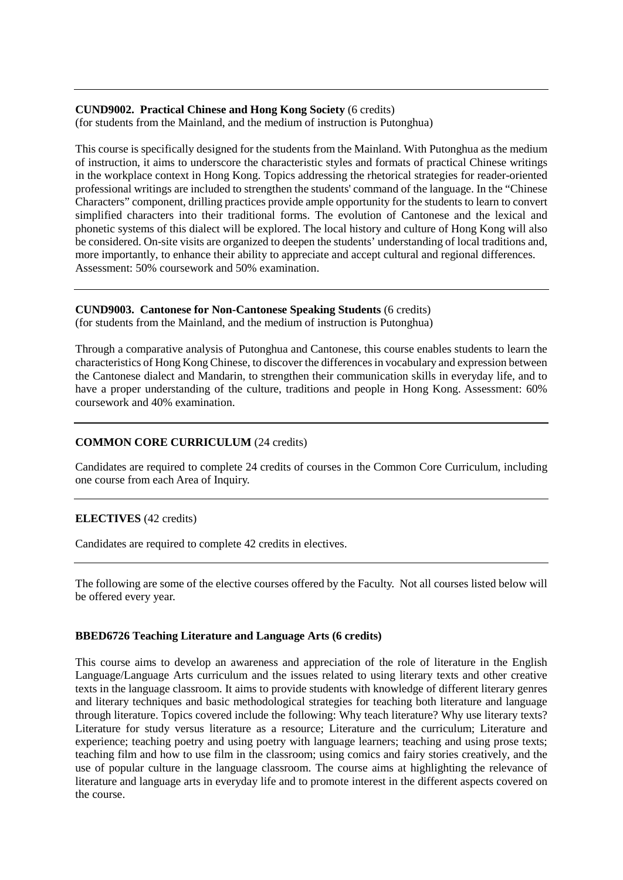#### **CUND9002. Practical Chinese and Hong Kong Society** (6 credits) (for students from the Mainland, and the medium of instruction is Putonghua)

This course is specifically designed for the students from the Mainland. With Putonghua as the medium of instruction, it aims to underscore the characteristic styles and formats of practical Chinese writings in the workplace context in Hong Kong. Topics addressing the rhetorical strategies for reader-oriented professional writings are included to strengthen the students' command of the language. In the "Chinese Characters" component, drilling practices provide ample opportunity for the students to learn to convert simplified characters into their traditional forms. The evolution of Cantonese and the lexical and phonetic systems of this dialect will be explored. The local history and culture of Hong Kong will also be considered. On-site visits are organized to deepen the students' understanding of local traditions and, more importantly, to enhance their ability to appreciate and accept cultural and regional differences. Assessment: 50% coursework and 50% examination.

#### **CUND9003. Cantonese for Non-Cantonese Speaking Students** (6 credits) (for students from the Mainland, and the medium of instruction is Putonghua)

Through a comparative analysis of Putonghua and Cantonese, this course enables students to learn the characteristics of Hong Kong Chinese, to discover the differences in vocabulary and expression between the Cantonese dialect and Mandarin, to strengthen their communication skills in everyday life, and to have a proper understanding of the culture, traditions and people in Hong Kong. Assessment: 60% coursework and 40% examination.

# **COMMON CORE CURRICULUM** (24 credits)

Candidates are required to complete 24 credits of courses in the Common Core Curriculum, including one course from each Area of Inquiry.

# **ELECTIVES** (42 credits)

Candidates are required to complete 42 credits in electives.

The following are some of the elective courses offered by the Faculty. Not all courses listed below will be offered every year.

## **BBED6726 Teaching Literature and Language Arts (6 credits)**

This course aims to develop an awareness and appreciation of the role of literature in the English Language/Language Arts curriculum and the issues related to using literary texts and other creative texts in the language classroom. It aims to provide students with knowledge of different literary genres and literary techniques and basic methodological strategies for teaching both literature and language through literature. Topics covered include the following: Why teach literature? Why use literary texts? Literature for study versus literature as a resource; Literature and the curriculum; Literature and experience; teaching poetry and using poetry with language learners; teaching and using prose texts; teaching film and how to use film in the classroom; using comics and fairy stories creatively, and the use of popular culture in the language classroom. The course aims at highlighting the relevance of literature and language arts in everyday life and to promote interest in the different aspects covered on the course.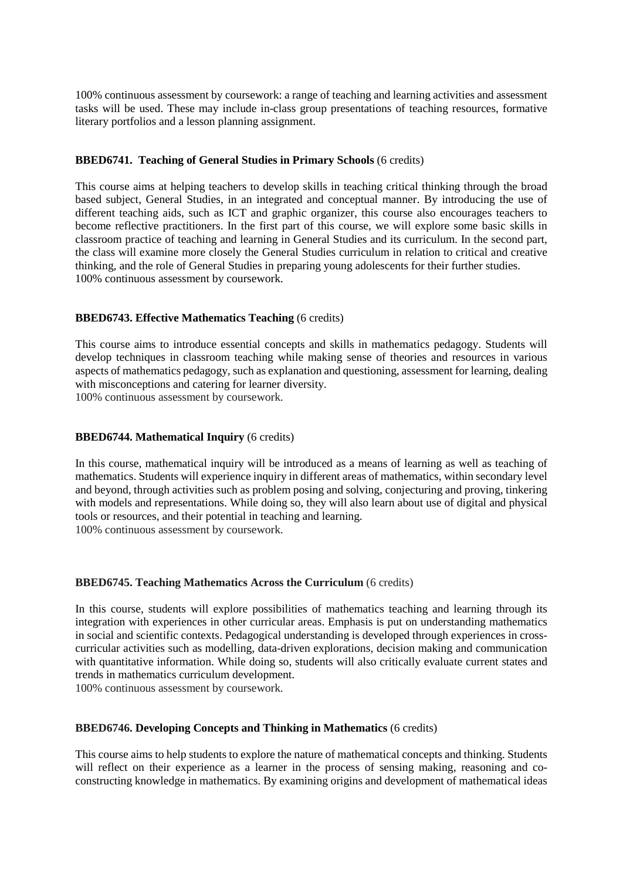100% continuous assessment by coursework: a range of teaching and learning activities and assessment tasks will be used. These may include in-class group presentations of teaching resources, formative literary portfolios and a lesson planning assignment.

## **BBED6741. Teaching of General Studies in Primary Schools** (6 credits)

This course aims at helping teachers to develop skills in teaching critical thinking through the broad based subject, General Studies, in an integrated and conceptual manner. By introducing the use of different teaching aids, such as ICT and graphic organizer, this course also encourages teachers to become reflective practitioners. In the first part of this course, we will explore some basic skills in classroom practice of teaching and learning in General Studies and its curriculum. In the second part, the class will examine more closely the General Studies curriculum in relation to critical and creative thinking, and the role of General Studies in preparing young adolescents for their further studies. 100% continuous assessment by coursework.

# **BBED6743. Effective Mathematics Teaching** (6 credits)

This course aims to introduce essential concepts and skills in mathematics pedagogy. Students will develop techniques in classroom teaching while making sense of theories and resources in various aspects of mathematics pedagogy, such as explanation and questioning, assessment for learning, dealing with misconceptions and catering for learner diversity.

100% continuous assessment by coursework.

## **BBED6744. Mathematical Inquiry** (6 credits)

In this course, mathematical inquiry will be introduced as a means of learning as well as teaching of mathematics. Students will experience inquiry in different areas of mathematics, within secondary level and beyond, through activities such as problem posing and solving, conjecturing and proving, tinkering with models and representations. While doing so, they will also learn about use of digital and physical tools or resources, and their potential in teaching and learning. 100% continuous assessment by coursework.

## **BBED6745. Teaching Mathematics Across the Curriculum** (6 credits)

In this course, students will explore possibilities of mathematics teaching and learning through its integration with experiences in other curricular areas. Emphasis is put on understanding mathematics in social and scientific contexts. Pedagogical understanding is developed through experiences in crosscurricular activities such as modelling, data-driven explorations, decision making and communication with quantitative information. While doing so, students will also critically evaluate current states and trends in mathematics curriculum development.

100% continuous assessment by coursework.

## **BBED6746. Developing Concepts and Thinking in Mathematics** (6 credits)

This course aims to help students to explore the nature of mathematical concepts and thinking. Students will reflect on their experience as a learner in the process of sensing making, reasoning and coconstructing knowledge in mathematics. By examining origins and development of mathematical ideas